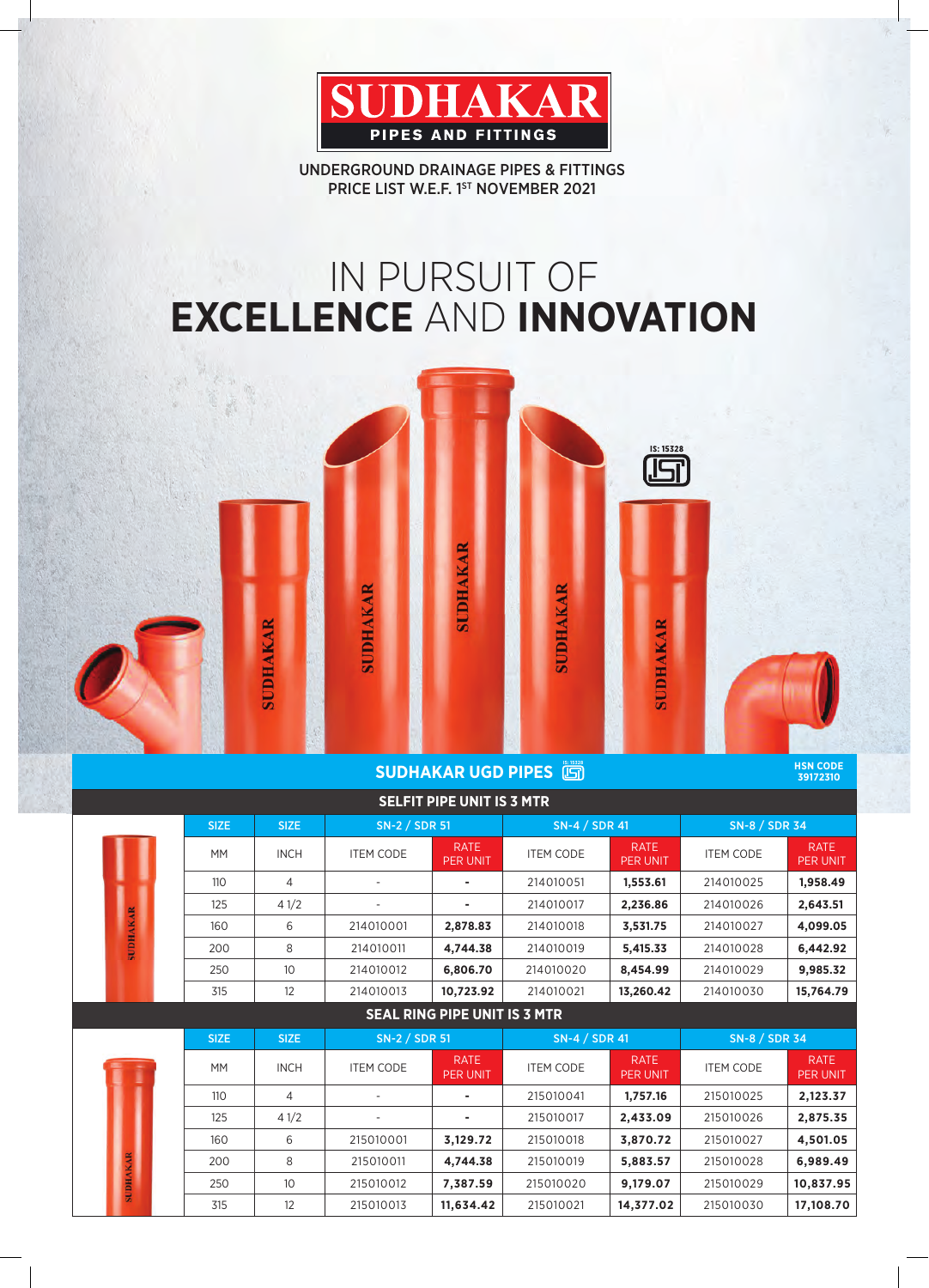

UNDERGROUND DRAINAGE PIPES & FITTINGS PRICE LIST W.E.F. 1ST NOVEMBER 2021

# IN PURSUIT OF **EXCELLENCE** AND **INNOVATION**



**SUDHAKAR UGD PIPES** 

**HSN CODE 39172310**

|                 |             |                 |                  | <b>SELFIT PIPE UNIT IS 3 MTR</b>    |                      |                                |                  |                         |  |
|-----------------|-------------|-----------------|------------------|-------------------------------------|----------------------|--------------------------------|------------------|-------------------------|--|
|                 | <b>SIZE</b> | <b>SIZE</b>     | SN-2 / SDR 51    |                                     | SN-4 / SDR 41        |                                | SN-8 / SDR 34    |                         |  |
|                 | <b>MM</b>   | <b>INCH</b>     | <b>ITEM CODE</b> | <b>RATE</b><br>PER UNIT             | <b>ITEM CODE</b>     | <b>RATE</b><br>PER UNIT        | <b>ITEM CODE</b> | <b>RATE</b><br>PER UNIT |  |
|                 | 110         | 4               |                  |                                     | 214010051            | 1,553.61                       | 214010025        | 1,958.49                |  |
|                 | 125         | 41/2            |                  |                                     | 214010017            | 2,236.86                       | 214010026        | 2,643.51                |  |
| <b>SUDHAKAR</b> | 160         | 6               | 214010001        | 2,878.83                            | 214010018            | 3,531.75                       | 214010027        | 4,099.05                |  |
|                 | 200         | 8               | 214010011        | 4,744.38                            | 214010019            | 5,415.33                       | 214010028        | 6,442.92                |  |
|                 | 250         | 10 <sup>°</sup> | 214010012        | 6,806.70                            | 214010020            | 8,454.99                       | 214010029        | 9,985.32                |  |
|                 | 315         | 12              | 214010013        | 10,723.92                           | 214010021            | 13,260.42                      | 214010030        | 15,764.79               |  |
|                 |             |                 |                  | <b>SEAL RING PIPE UNIT IS 3 MTR</b> |                      |                                |                  |                         |  |
|                 | <b>SIZE</b> | <b>SIZE</b>     | SN-2 / SDR 51    |                                     | <b>SN-4 / SDR 41</b> |                                | SN-8 / SDR 34    |                         |  |
|                 | <b>MM</b>   | <b>INCH</b>     | <b>ITEM CODE</b> | <b>RATE</b><br><b>PER UNIT</b>      | <b>ITEM CODE</b>     | <b>RATE</b><br><b>PER UNIT</b> | <b>ITEM CODE</b> | <b>RATE</b><br>PER UNIT |  |
|                 | 110         | 4               |                  | ٠                                   | 215010041            | 1,757.16                       | 215010025        | 2,123.37                |  |
|                 | 125         | 41/2            |                  |                                     | 215010017            | 2,433.09                       | 215010026        | 2,875.35                |  |
|                 | 160         | 6               | 215010001        | 3,129.72                            | 215010018            | 3,870.72                       | 215010027        | 4,501.05                |  |
|                 | 200         | 8               | 215010011        | 4,744.38                            | 215010019            | 5,883.57                       | 215010028        | 6,989.49                |  |
| <b>SUDHAKAR</b> | 250         | 10              | 215010012        | 7,387.59                            | 215010020            | 9,179.07                       | 215010029        | 10,837.95               |  |
|                 | 315         | 12              | 215010013        | 11,634.42                           | 215010021            | 14,377.02                      | 215010030        | 17,108.70               |  |